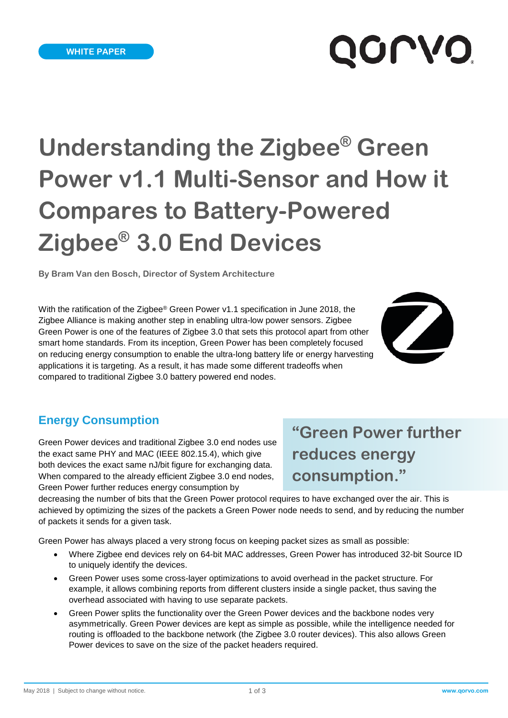# QOLVO'

# **Understanding the Zigbee® Green Power v1.1 Multi-Sensor and How it Compares to Battery-Powered Zigbee® 3.0 End Devices**

**By Bram Van den Bosch, Director of System Architecture**

With the ratification of the Zigbee® Green Power v1.1 specification in June 2018, the Zigbee Alliance is making another step in enabling ultra-low power sensors. Zigbee Green Power is one of the features of Zigbee 3.0 that sets this protocol apart from other smart home standards. From its inception, Green Power has been completely focused on reducing energy consumption to enable the ultra-long battery life or energy harvesting applications it is targeting. As a result, it has made some different tradeoffs when compared to traditional Zigbee 3.0 battery powered end nodes.



#### **Energy Consumption**

Green Power devices and traditional Zigbee 3.0 end nodes use the exact same PHY and MAC (IEEE 802.15.4), which give both devices the exact same nJ/bit figure for exchanging data. When compared to the already efficient Zigbee 3.0 end nodes, Green Power further reduces energy consumption by

### **"Green Power further reduces energy consumption."**

decreasing the number of bits that the Green Power protocol requires to have exchanged over the air. This is achieved by optimizing the sizes of the packets a Green Power node needs to send, and by reducing the number of packets it sends for a given task.

Green Power has always placed a very strong focus on keeping packet sizes as small as possible:

- Where Zigbee end devices rely on 64-bit MAC addresses, Green Power has introduced 32-bit Source ID to uniquely identify the devices.
- Green Power uses some cross-layer optimizations to avoid overhead in the packet structure. For example, it allows combining reports from different clusters inside a single packet, thus saving the overhead associated with having to use separate packets.
- Green Power splits the functionality over the Green Power devices and the backbone nodes very asymmetrically. Green Power devices are kept as simple as possible, while the intelligence needed for routing is offloaded to the backbone network (the Zigbee 3.0 router devices). This also allows Green Power devices to save on the size of the packet headers required.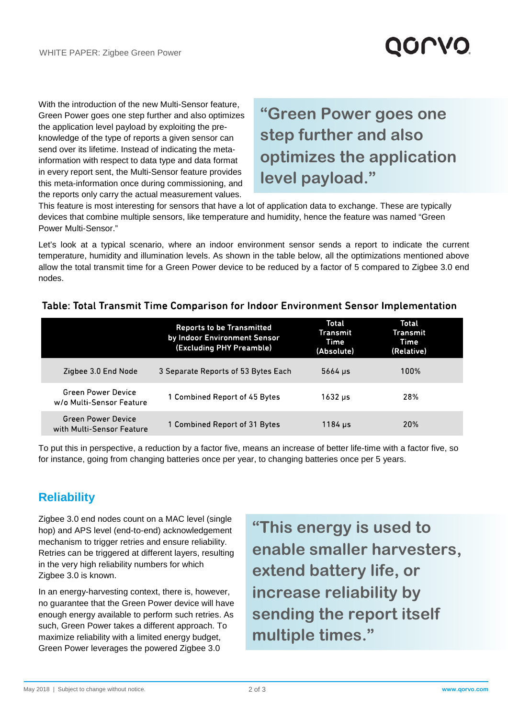## **QOLVO**

With the introduction of the new Multi-Sensor feature, Green Power goes one step further and also optimizes the application level payload by exploiting the preknowledge of the type of reports a given sensor can send over its lifetime. Instead of indicating the metainformation with respect to data type and data format in every report sent, the Multi-Sensor feature provides this meta-information once during commissioning, and the reports only carry the actual measurement values.

### **"Green Power goes one step further and also optimizes the application level payload."**

This feature is most interesting for sensors that have a lot of application data to exchange. These are typically devices that combine multiple sensors, like temperature and humidity, hence the feature was named "Green Power Multi-Sensor."

Let's look at a typical scenario, where an indoor environment sensor sends a report to indicate the current temperature, humidity and illumination levels. As shown in the table below, all the optimizations mentioned above allow the total transmit time for a Green Power device to be reduced by a factor of 5 compared to Zigbee 3.0 end nodes.

|                                                       | <b>Reports to be Transmitted</b><br>by Indoor Environment Sensor<br>(Excluding PHY Preamble) | <b>Total</b><br>Transmit<br>Time<br>(Absolute) | <b>Total</b><br><b>Transmit</b><br>Time<br>(Relative) |
|-------------------------------------------------------|----------------------------------------------------------------------------------------------|------------------------------------------------|-------------------------------------------------------|
| Zigbee 3.0 End Node                                   | 3 Separate Reports of 53 Bytes Each                                                          | $5664 \mu s$                                   | 100%                                                  |
| <b>Green Power Device</b><br>w/o Multi-Sensor Feature | 1 Combined Report of 45 Bytes                                                                | 1632 us                                        | 28%                                                   |
| Green Power Device<br>with Multi-Sensor Feature       | 1 Combined Report of 31 Bytes                                                                | 1184 µs                                        | <b>20%</b>                                            |

#### Table: Total Transmit Time Comparison for Indoor Environment Sensor Implementation

To put this in perspective, a reduction by a factor five, means an increase of better life-time with a factor five, so for instance, going from changing batteries once per year, to changing batteries once per 5 years.

#### **Reliability**

Zigbee 3.0 end nodes count on a MAC level (single hop) and APS level (end-to-end) acknowledgement mechanism to trigger retries and ensure reliability. Retries can be triggered at different layers, resulting in the very high reliability numbers for which Zigbee 3.0 is known.

In an energy-harvesting context, there is, however, no guarantee that the Green Power device will have enough energy available to perform such retries. As such, Green Power takes a different approach. To maximize reliability with a limited energy budget, Green Power leverages the powered Zigbee 3.0

**"This energy is used to enable smaller harvesters, extend battery life, or increase reliability by sending the report itself multiple times."**